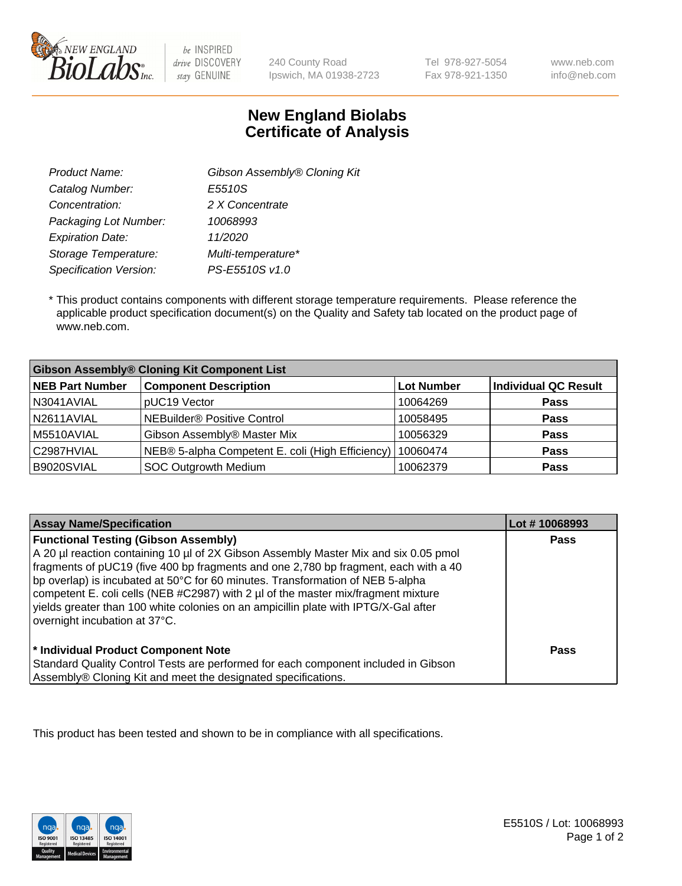

be INSPIRED drive DISCOVERY stay GENUINE

240 County Road Ipswich, MA 01938-2723 Tel 978-927-5054 Fax 978-921-1350

www.neb.com info@neb.com

## **New England Biolabs Certificate of Analysis**

| Gibson Assembly® Cloning Kit |
|------------------------------|
| E5510S                       |
| 2 X Concentrate              |
| 10068993                     |
| 11/2020                      |
| Multi-temperature*           |
| PS-E5510S v1.0               |
|                              |

 \* This product contains components with different storage temperature requirements. Please reference the applicable product specification document(s) on the Quality and Safety tab located on the product page of www.neb.com.

| <b>Gibson Assembly® Cloning Kit Component List</b> |                                                  |            |                      |  |
|----------------------------------------------------|--------------------------------------------------|------------|----------------------|--|
| <b>NEB Part Number</b>                             | <b>Component Description</b>                     | Lot Number | Individual QC Result |  |
| N3041AVIAL                                         | pUC19 Vector                                     | 10064269   | <b>Pass</b>          |  |
| N2611AVIAL                                         | <b>NEBuilder<sup>®</sup></b> Positive Control    | 10058495   | <b>Pass</b>          |  |
| M5510AVIAL                                         | Gibson Assembly® Master Mix                      | 10056329   | <b>Pass</b>          |  |
| C2987HVIAL                                         | NEB® 5-alpha Competent E. coli (High Efficiency) | 10060474   | Pass                 |  |
| B9020SVIAL                                         | SOC Outgrowth Medium                             | 10062379   | <b>Pass</b>          |  |

| <b>Assay Name/Specification</b>                                                                                                                                                                                                                                                                                                                                                                                                                                                                                           | Lot #10068993 |
|---------------------------------------------------------------------------------------------------------------------------------------------------------------------------------------------------------------------------------------------------------------------------------------------------------------------------------------------------------------------------------------------------------------------------------------------------------------------------------------------------------------------------|---------------|
| <b>Functional Testing (Gibson Assembly)</b><br>A 20 µl reaction containing 10 µl of 2X Gibson Assembly Master Mix and six 0.05 pmol<br>fragments of pUC19 (five 400 bp fragments and one 2,780 bp fragment, each with a 40<br>bp overlap) is incubated at 50°C for 60 minutes. Transformation of NEB 5-alpha<br>competent E. coli cells (NEB #C2987) with 2 µl of the master mix/fragment mixture<br>vields greater than 100 white colonies on an ampicillin plate with IPTG/X-Gal after<br>overnight incubation at 37°C. | Pass          |
| * Individual Product Component Note<br>Standard Quality Control Tests are performed for each component included in Gibson<br>Assembly® Cloning Kit and meet the designated specifications.                                                                                                                                                                                                                                                                                                                                | Pass          |

This product has been tested and shown to be in compliance with all specifications.